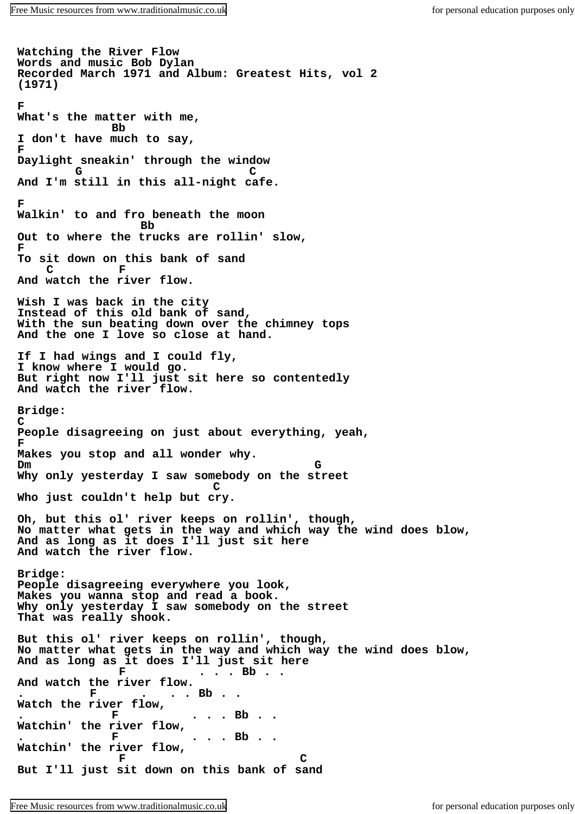**Watching the River Flow Words and music Bob Dylan Recorded March 1971 and Album: Greatest Hits, vol 2 (1971) F What's the matter with me, Bb I don't have much to say, F Daylight sneakin' through the window G C And I'm still in this all-night cafe. F Walkin' to and fro beneath the moon Bb Out to where the trucks are rollin' slow, F To sit down on this bank of sand C F And watch the river flow. Wish I was back in the city Instead of this old bank of sand, With the sun beating down over the chimney tops And the one I love so close at hand. If I had wings and I could fly, I know where I would go. But right now I'll just sit here so contentedly And watch the river flow. Bridge: C People disagreeing on just about everything, yeah, F Makes you stop and all wonder why. Dm G Why only yesterday I saw somebody on the street C Who just couldn't help but cry. Oh, but this ol' river keeps on rollin', though, No matter what gets in the way and which way the wind does blow, And as long as it does I'll just sit here And watch the river flow. Bridge: People disagreeing everywhere you look, Makes you wanna stop and read a book. Why only yesterday I saw somebody on the street That was really shook. But this ol' river keeps on rollin', though, No matter what gets in the way and which way the wind does blow, And as long as it does I'll just sit here F . . . Bb . . And watch the river flow.** . . Bb . **Watch the river flow, . F . . . Bb . . Watchin' the river flow, . F . . . Bb . . Watchin' the river flow, F** C **But I'll just sit down on this bank of sand**